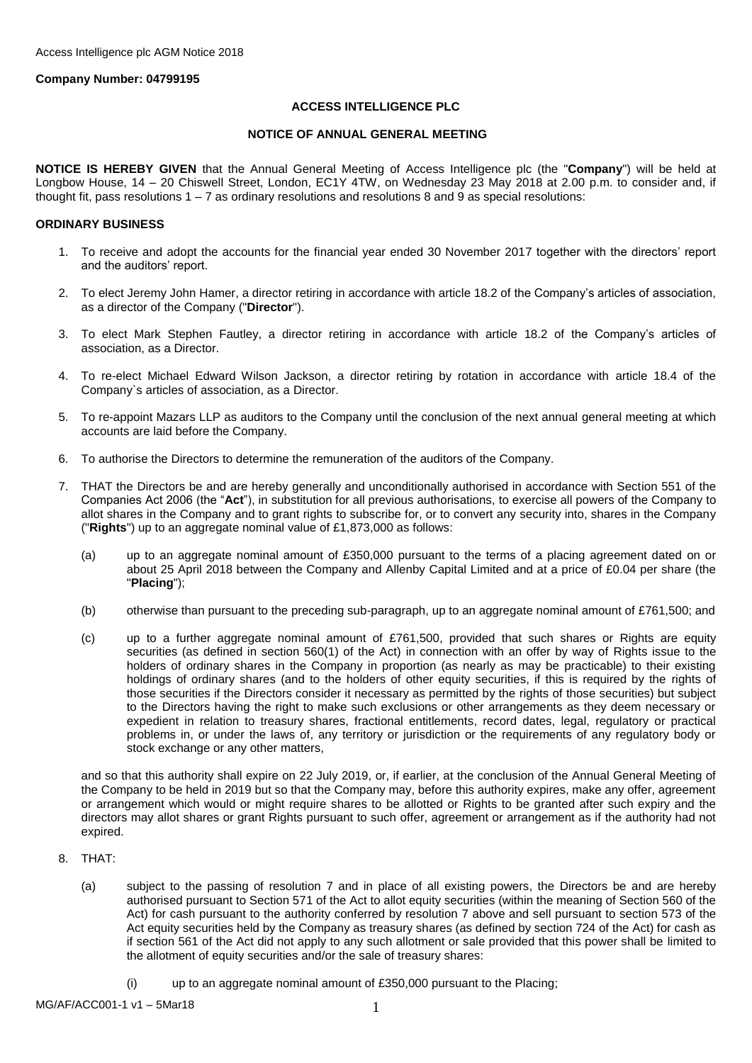### **Company Number: 04799195**

### **ACCESS INTELLIGENCE PLC**

#### **NOTICE OF ANNUAL GENERAL MEETING**

**NOTICE IS HEREBY GIVEN** that the Annual General Meeting of Access Intelligence plc (the "**Company**") will be held at Longbow House, 14 – 20 Chiswell Street, London, EC1Y 4TW, on Wednesday 23 May 2018 at 2*.*00 p.m. to consider and, if thought fit, pass resolutions  $1 - 7$  as ordinary resolutions and resolutions 8 and 9 as special resolutions:

#### **ORDINARY BUSINESS**

- 1. To receive and adopt the accounts for the financial year ended 30 November 2017 together with the directors' report and the auditors' report.
- 2. To elect Jeremy John Hamer, a director retiring in accordance with article 18.2 of the Company's articles of association, as a director of the Company ("**Director**").
- 3. To elect Mark Stephen Fautley, a director retiring in accordance with article 18.2 of the Company's articles of association, as a Director.
- 4. To re-elect Michael Edward Wilson Jackson, a director retiring by rotation in accordance with article 18.4 of the Company`s articles of association, as a Director.
- 5. To re-appoint Mazars LLP as auditors to the Company until the conclusion of the next annual general meeting at which accounts are laid before the Company.
- 6. To authorise the Directors to determine the remuneration of the auditors of the Company.
- 7. THAT the Directors be and are hereby generally and unconditionally authorised in accordance with Section 551 of the Companies Act 2006 (the "**Act**"), in substitution for all previous authorisations, to exercise all powers of the Company to allot shares in the Company and to grant rights to subscribe for, or to convert any security into, shares in the Company ("**Rights**") up to an aggregate nominal value of £1,873,000 as follows:
	- (a) up to an aggregate nominal amount of £350,000 pursuant to the terms of a placing agreement dated on or about 25 April 2018 between the Company and Allenby Capital Limited and at a price of £0.04 per share (the "**Placing**");
	- (b) otherwise than pursuant to the preceding sub-paragraph, up to an aggregate nominal amount of £761,500; and
	- (c) up to a further aggregate nominal amount of £761,500, provided that such shares or Rights are equity securities (as defined in section 560(1) of the Act) in connection with an offer by way of Rights issue to the holders of ordinary shares in the Company in proportion (as nearly as may be practicable) to their existing holdings of ordinary shares (and to the holders of other equity securities, if this is required by the rights of those securities if the Directors consider it necessary as permitted by the rights of those securities) but subject to the Directors having the right to make such exclusions or other arrangements as they deem necessary or expedient in relation to treasury shares, fractional entitlements, record dates, legal, regulatory or practical problems in, or under the laws of, any territory or jurisdiction or the requirements of any regulatory body or stock exchange or any other matters,

and so that this authority shall expire on 22 July 2019, or, if earlier, at the conclusion of the Annual General Meeting of the Company to be held in 2019 but so that the Company may, before this authority expires, make any offer, agreement or arrangement which would or might require shares to be allotted or Rights to be granted after such expiry and the directors may allot shares or grant Rights pursuant to such offer, agreement or arrangement as if the authority had not expired.

- 8. THAT:
	- (a) subject to the passing of resolution 7 and in place of all existing powers, the Directors be and are hereby authorised pursuant to Section 571 of the Act to allot equity securities (within the meaning of Section 560 of the Act) for cash pursuant to the authority conferred by resolution 7 above and sell pursuant to section 573 of the Act equity securities held by the Company as treasury shares (as defined by section 724 of the Act) for cash as if section 561 of the Act did not apply to any such allotment or sale provided that this power shall be limited to the allotment of equity securities and/or the sale of treasury shares:
		- (i) up to an aggregate nominal amount of £350,000 pursuant to the Placing;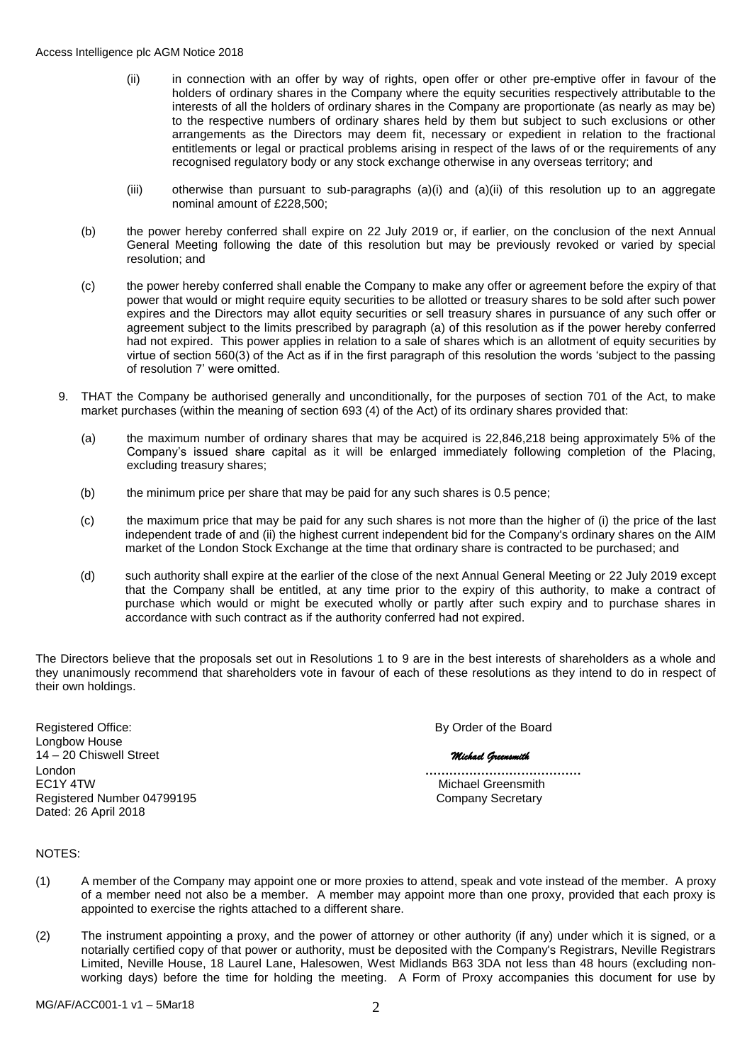- (ii) in connection with an offer by way of rights, open offer or other pre-emptive offer in favour of the holders of ordinary shares in the Company where the equity securities respectively attributable to the interests of all the holders of ordinary shares in the Company are proportionate (as nearly as may be) to the respective numbers of ordinary shares held by them but subject to such exclusions or other arrangements as the Directors may deem fit, necessary or expedient in relation to the fractional entitlements or legal or practical problems arising in respect of the laws of or the requirements of any recognised regulatory body or any stock exchange otherwise in any overseas territory; and
- (iii) otherwise than pursuant to sub-paragraphs (a)(i) and (a)(ii) of this resolution up to an aggregate nominal amount of £228,500;
- (b) the power hereby conferred shall expire on 22 July 2019 or, if earlier, on the conclusion of the next Annual General Meeting following the date of this resolution but may be previously revoked or varied by special resolution; and
- (c) the power hereby conferred shall enable the Company to make any offer or agreement before the expiry of that power that would or might require equity securities to be allotted or treasury shares to be sold after such power expires and the Directors may allot equity securities or sell treasury shares in pursuance of any such offer or agreement subject to the limits prescribed by paragraph (a) of this resolution as if the power hereby conferred had not expired. This power applies in relation to a sale of shares which is an allotment of equity securities by virtue of section 560(3) of the Act as if in the first paragraph of this resolution the words 'subject to the passing of resolution 7' were omitted.
- 9. THAT the Company be authorised generally and unconditionally, for the purposes of section 701 of the Act, to make market purchases (within the meaning of section 693 (4) of the Act) of its ordinary shares provided that:
	- (a) the maximum number of ordinary shares that may be acquired is 22,846,218 being approximately 5% of the Company's issued share capital as it will be enlarged immediately following completion of the Placing, excluding treasury shares;
	- (b) the minimum price per share that may be paid for any such shares is 0.5 pence;
	- (c) the maximum price that may be paid for any such shares is not more than the higher of (i) the price of the last independent trade of and (ii) the highest current independent bid for the Company's ordinary shares on the AIM market of the London Stock Exchange at the time that ordinary share is contracted to be purchased; and
	- (d) such authority shall expire at the earlier of the close of the next Annual General Meeting or 22 July 2019 except that the Company shall be entitled, at any time prior to the expiry of this authority, to make a contract of purchase which would or might be executed wholly or partly after such expiry and to purchase shares in accordance with such contract as if the authority conferred had not expired.

The Directors believe that the proposals set out in Resolutions 1 to 9 are in the best interests of shareholders as a whole and they unanimously recommend that shareholders vote in favour of each of these resolutions as they intend to do in respect of their own holdings.

Registered Office: **By Order of the Board** Longbow House 14 – 20 Chiswell Street *Michael Greensmith* London **…………………………………** Registered Number 04799195 Company Secretary Dated: 26 April 2018

Michael Greensmith

### NOTES:

- (1) A member of the Company may appoint one or more proxies to attend, speak and vote instead of the member. A proxy of a member need not also be a member. A member may appoint more than one proxy, provided that each proxy is appointed to exercise the rights attached to a different share.
- (2) The instrument appointing a proxy, and the power of attorney or other authority (if any) under which it is signed, or a notarially certified copy of that power or authority, must be deposited with the Company's Registrars, Neville Registrars Limited, Neville House, 18 Laurel Lane, Halesowen, West Midlands B63 3DA not less than 48 hours (excluding nonworking days) before the time for holding the meeting. A Form of Proxy accompanies this document for use by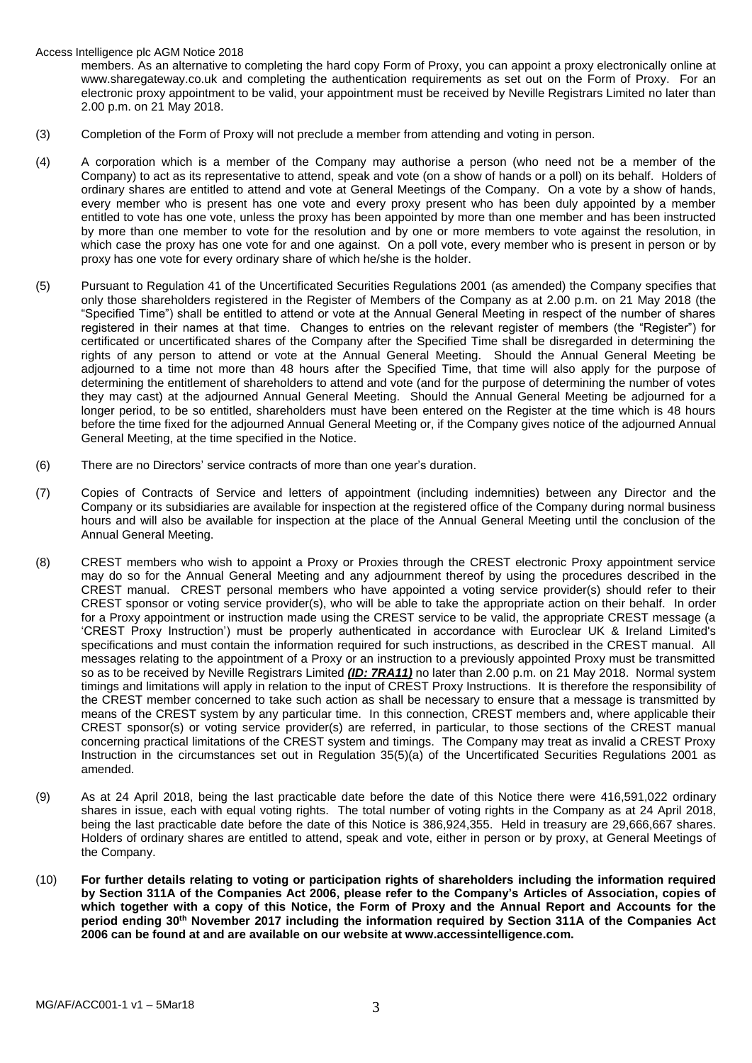Access Intelligence plc AGM Notice 2018

members. As an alternative to completing the hard copy Form of Proxy, you can appoint a proxy electronically online at www.sharegateway.co.uk and completing the authentication requirements as set out on the Form of Proxy. For an electronic proxy appointment to be valid, your appointment must be received by Neville Registrars Limited no later than 2.00 p.m. on 21 May 2018.

- (3) Completion of the Form of Proxy will not preclude a member from attending and voting in person.
- (4) A corporation which is a member of the Company may authorise a person (who need not be a member of the Company) to act as its representative to attend, speak and vote (on a show of hands or a poll) on its behalf. Holders of ordinary shares are entitled to attend and vote at General Meetings of the Company. On a vote by a show of hands, every member who is present has one vote and every proxy present who has been duly appointed by a member entitled to vote has one vote, unless the proxy has been appointed by more than one member and has been instructed by more than one member to vote for the resolution and by one or more members to vote against the resolution, in which case the proxy has one vote for and one against. On a poll vote, every member who is present in person or by proxy has one vote for every ordinary share of which he/she is the holder.
- (5) Pursuant to Regulation 41 of the Uncertificated Securities Regulations 2001 (as amended) the Company specifies that only those shareholders registered in the Register of Members of the Company as at 2.00 p.m. on 21 May 2018 (the "Specified Time") shall be entitled to attend or vote at the Annual General Meeting in respect of the number of shares registered in their names at that time. Changes to entries on the relevant register of members (the "Register") for certificated or uncertificated shares of the Company after the Specified Time shall be disregarded in determining the rights of any person to attend or vote at the Annual General Meeting. Should the Annual General Meeting be adjourned to a time not more than 48 hours after the Specified Time, that time will also apply for the purpose of determining the entitlement of shareholders to attend and vote (and for the purpose of determining the number of votes they may cast) at the adjourned Annual General Meeting. Should the Annual General Meeting be adjourned for a longer period, to be so entitled, shareholders must have been entered on the Register at the time which is 48 hours before the time fixed for the adjourned Annual General Meeting or, if the Company gives notice of the adjourned Annual General Meeting, at the time specified in the Notice.
- (6) There are no Directors' service contracts of more than one year's duration.
- (7) Copies of Contracts of Service and letters of appointment (including indemnities) between any Director and the Company or its subsidiaries are available for inspection at the registered office of the Company during normal business hours and will also be available for inspection at the place of the Annual General Meeting until the conclusion of the Annual General Meeting.
- (8) CREST members who wish to appoint a Proxy or Proxies through the CREST electronic Proxy appointment service may do so for the Annual General Meeting and any adjournment thereof by using the procedures described in the CREST manual. CREST personal members who have appointed a voting service provider(s) should refer to their CREST sponsor or voting service provider(s), who will be able to take the appropriate action on their behalf. In order for a Proxy appointment or instruction made using the CREST service to be valid, the appropriate CREST message (a 'CREST Proxy Instruction') must be properly authenticated in accordance with Euroclear UK & Ireland Limited's specifications and must contain the information required for such instructions, as described in the CREST manual. All messages relating to the appointment of a Proxy or an instruction to a previously appointed Proxy must be transmitted so as to be received by Neville Registrars Limited *(ID: 7RA11)* no later than 2.00 p.m. on 21 May 2018. Normal system timings and limitations will apply in relation to the input of CREST Proxy Instructions. It is therefore the responsibility of the CREST member concerned to take such action as shall be necessary to ensure that a message is transmitted by means of the CREST system by any particular time. In this connection, CREST members and, where applicable their CREST sponsor(s) or voting service provider(s) are referred, in particular, to those sections of the CREST manual concerning practical limitations of the CREST system and timings. The Company may treat as invalid a CREST Proxy Instruction in the circumstances set out in Regulation 35(5)(a) of the Uncertificated Securities Regulations 2001 as amended.
- (9) As at 24 April 2018, being the last practicable date before the date of this Notice there were 416,591,022 ordinary shares in issue, each with equal voting rights. The total number of voting rights in the Company as at 24 April 2018, being the last practicable date before the date of this Notice is 386,924,355. Held in treasury are 29,666,667 shares. Holders of ordinary shares are entitled to attend, speak and vote, either in person or by proxy, at General Meetings of the Company.
- (10) **For further details relating to voting or participation rights of shareholders including the information required by Section 311A of the Companies Act 2006, please refer to the Company's Articles of Association, copies of which together with a copy of this Notice, the Form of Proxy and the Annual Report and Accounts for the period ending 30th November 2017 including the information required by Section 311A of the Companies Act 2006 can be found at and are available on our website at www.accessintelligence.com.**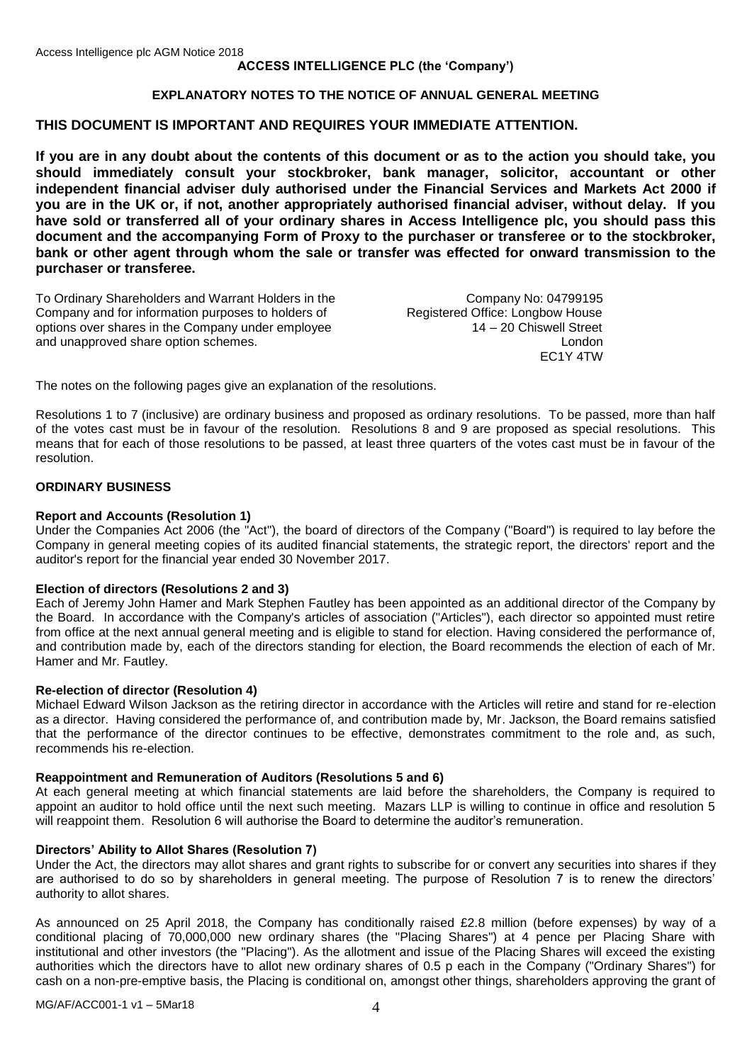## **ACCESS INTELLIGENCE PLC (the 'Company')**

## **EXPLANATORY NOTES TO THE NOTICE OF ANNUAL GENERAL MEETING**

# **THIS DOCUMENT IS IMPORTANT AND REQUIRES YOUR IMMEDIATE ATTENTION.**

**If you are in any doubt about the contents of this document or as to the action you should take, you should immediately consult your stockbroker, bank manager, solicitor, accountant or other independent financial adviser duly authorised under the Financial Services and Markets Act 2000 if you are in the UK or, if not, another appropriately authorised financial adviser, without delay. If you have sold or transferred all of your ordinary shares in Access Intelligence plc, you should pass this document and the accompanying Form of Proxy to the purchaser or transferee or to the stockbroker, bank or other agent through whom the sale or transfer was effected for onward transmission to the purchaser or transferee.**

To Ordinary Shareholders and Warrant Holders in the Company No: 04799195<br>Company and for information purposes to holders of Registered Office: Longbow House Company and for information purposes to holders of Registered Office: Longbow House<br>
options over shares in the Company under employee 14 – 20 Chiswell Street options over shares in the Company under employee 14 – 20 Chiswell Street<br>and unapproved share option schemes and unapproved share option schemes.

EC1Y 4TW

The notes on the following pages give an explanation of the resolutions.

Resolutions 1 to 7 (inclusive) are ordinary business and proposed as ordinary resolutions. To be passed, more than half of the votes cast must be in favour of the resolution. Resolutions 8 and 9 are proposed as special resolutions. This means that for each of those resolutions to be passed, at least three quarters of the votes cast must be in favour of the resolution.

### **ORDINARY BUSINESS**

### **Report and Accounts (Resolution 1)**

Under the Companies Act 2006 (the "Act"), the board of directors of the Company ("Board") is required to lay before the Company in general meeting copies of its audited financial statements, the strategic report, the directors' report and the auditor's report for the financial year ended 30 November 2017.

### **Election of directors (Resolutions 2 and 3)**

Each of Jeremy John Hamer and Mark Stephen Fautley has been appointed as an additional director of the Company by the Board. In accordance with the Company's articles of association ("Articles"), each director so appointed must retire from office at the next annual general meeting and is eligible to stand for election. Having considered the performance of, and contribution made by, each of the directors standing for election, the Board recommends the election of each of Mr. Hamer and Mr. Fautley.

### **Re-election of director (Resolution 4)**

Michael Edward Wilson Jackson as the retiring director in accordance with the Articles will retire and stand for re-election as a director. Having considered the performance of, and contribution made by, Mr. Jackson, the Board remains satisfied that the performance of the director continues to be effective, demonstrates commitment to the role and, as such, recommends his re-election.

### **Reappointment and Remuneration of Auditors (Resolutions 5 and 6)**

At each general meeting at which financial statements are laid before the shareholders, the Company is required to appoint an auditor to hold office until the next such meeting. Mazars LLP is willing to continue in office and resolution 5 will reappoint them. Resolution 6 will authorise the Board to determine the auditor's remuneration.

### **Directors' Ability to Allot Shares (Resolution 7)**

Under the Act, the directors may allot shares and grant rights to subscribe for or convert any securities into shares if they are authorised to do so by shareholders in general meeting. The purpose of Resolution 7 is to renew the directors' authority to allot shares.

As announced on 25 April 2018, the Company has conditionally raised £2.8 million (before expenses) by way of a conditional placing of 70,000,000 new ordinary shares (the "Placing Shares") at 4 pence per Placing Share with institutional and other investors (the "Placing"). As the allotment and issue of the Placing Shares will exceed the existing authorities which the directors have to allot new ordinary shares of 0.5 p each in the Company ("Ordinary Shares") for cash on a non-pre-emptive basis, the Placing is conditional on, amongst other things, shareholders approving the grant of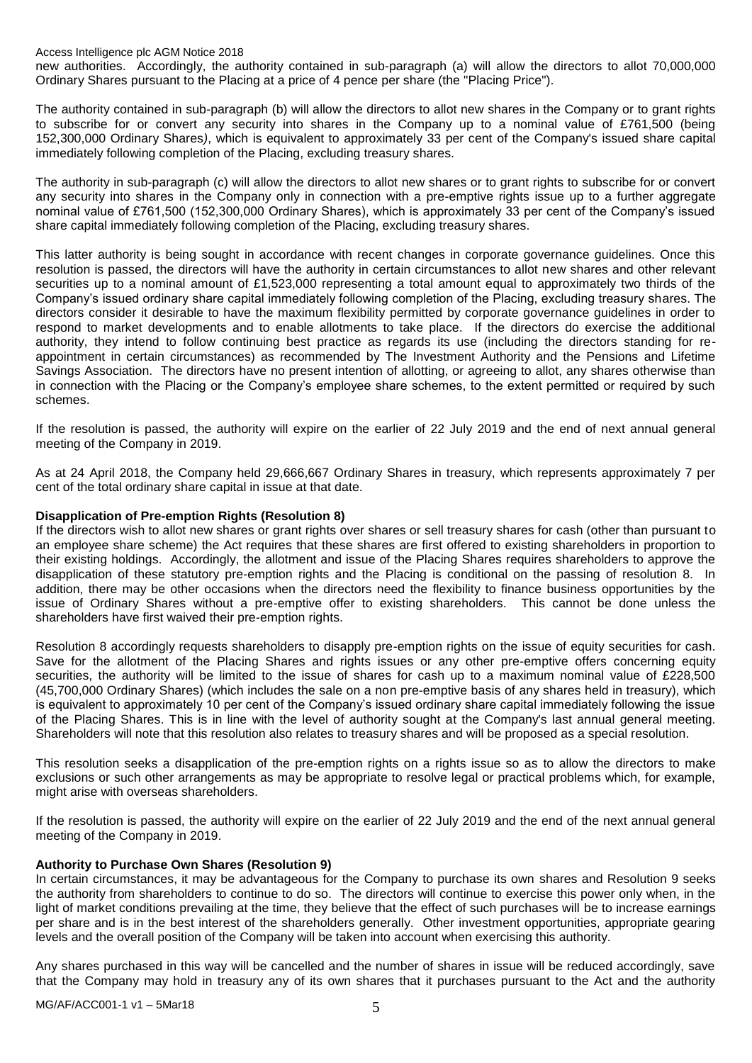Access Intelligence plc AGM Notice 2018

new authorities. Accordingly, the authority contained in sub-paragraph (a) will allow the directors to allot 70,000,000 Ordinary Shares pursuant to the Placing at a price of 4 pence per share (the "Placing Price").

The authority contained in sub-paragraph (b) will allow the directors to allot new shares in the Company or to grant rights to subscribe for or convert any security into shares in the Company up to a nominal value of £761,500 (being 152,300,000 Ordinary Shares*)*, which is equivalent to approximately 33 per cent of the Company's issued share capital immediately following completion of the Placing, excluding treasury shares.

The authority in sub-paragraph (c) will allow the directors to allot new shares or to grant rights to subscribe for or convert any security into shares in the Company only in connection with a pre-emptive rights issue up to a further aggregate nominal value of £761,500 (152,300,000 Ordinary Shares), which is approximately 33 per cent of the Company's issued share capital immediately following completion of the Placing, excluding treasury shares.

This latter authority is being sought in accordance with recent changes in corporate governance guidelines. Once this resolution is passed, the directors will have the authority in certain circumstances to allot new shares and other relevant securities up to a nominal amount of £1,523,000 representing a total amount equal to approximately two thirds of the Company's issued ordinary share capital immediately following completion of the Placing, excluding treasury shares. The directors consider it desirable to have the maximum flexibility permitted by corporate governance guidelines in order to respond to market developments and to enable allotments to take place. If the directors do exercise the additional authority, they intend to follow continuing best practice as regards its use (including the directors standing for reappointment in certain circumstances) as recommended by The Investment Authority and the Pensions and Lifetime Savings Association. The directors have no present intention of allotting, or agreeing to allot, any shares otherwise than in connection with the Placing or the Company's employee share schemes, to the extent permitted or required by such schemes.

If the resolution is passed, the authority will expire on the earlier of 22 July 2019 and the end of next annual general meeting of the Company in 2019.

As at 24 April 2018, the Company held 29,666,667 Ordinary Shares in treasury, which represents approximately 7 per cent of the total ordinary share capital in issue at that date.

### **Disapplication of Pre-emption Rights (Resolution 8)**

If the directors wish to allot new shares or grant rights over shares or sell treasury shares for cash (other than pursuant to an employee share scheme) the Act requires that these shares are first offered to existing shareholders in proportion to their existing holdings. Accordingly, the allotment and issue of the Placing Shares requires shareholders to approve the disapplication of these statutory pre-emption rights and the Placing is conditional on the passing of resolution 8. In addition, there may be other occasions when the directors need the flexibility to finance business opportunities by the issue of Ordinary Shares without a pre-emptive offer to existing shareholders. This cannot be done unless the shareholders have first waived their pre-emption rights.

Resolution 8 accordingly requests shareholders to disapply pre-emption rights on the issue of equity securities for cash. Save for the allotment of the Placing Shares and rights issues or any other pre-emptive offers concerning equity securities, the authority will be limited to the issue of shares for cash up to a maximum nominal value of £228,500 (45,700,000 Ordinary Shares) (which includes the sale on a non pre-emptive basis of any shares held in treasury), which is equivalent to approximately 10 per cent of the Company's issued ordinary share capital immediately following the issue of the Placing Shares. This is in line with the level of authority sought at the Company's last annual general meeting. Shareholders will note that this resolution also relates to treasury shares and will be proposed as a special resolution.

This resolution seeks a disapplication of the pre-emption rights on a rights issue so as to allow the directors to make exclusions or such other arrangements as may be appropriate to resolve legal or practical problems which, for example, might arise with overseas shareholders.

If the resolution is passed, the authority will expire on the earlier of 22 July 2019 and the end of the next annual general meeting of the Company in 2019.

## **Authority to Purchase Own Shares (Resolution 9)**

In certain circumstances, it may be advantageous for the Company to purchase its own shares and Resolution 9 seeks the authority from shareholders to continue to do so. The directors will continue to exercise this power only when, in the light of market conditions prevailing at the time, they believe that the effect of such purchases will be to increase earnings per share and is in the best interest of the shareholders generally. Other investment opportunities, appropriate gearing levels and the overall position of the Company will be taken into account when exercising this authority.

Any shares purchased in this way will be cancelled and the number of shares in issue will be reduced accordingly, save that the Company may hold in treasury any of its own shares that it purchases pursuant to the Act and the authority